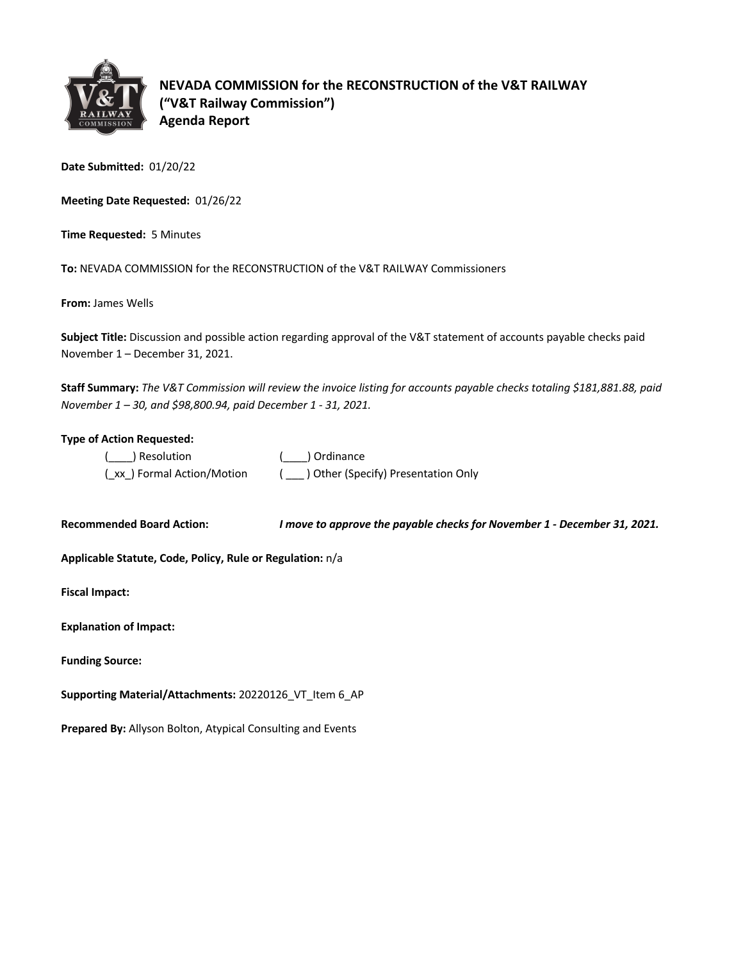

**NEVADA COMMISSION for the RECONSTRUCTION of the V&T RAILWAY ("V&T Railway Commission") Agenda Report**

**Date Submitted:** 01/20/22

**Meeting Date Requested:** 01/26/22

**Time Requested:** 5 Minutes

**To:** NEVADA COMMISSION for the RECONSTRUCTION of the V&T RAILWAY Commissioners

**From:** James Wells

**Subject Title:** Discussion and possible action regarding approval of the V&T statement of accounts payable checks paid November 1 – December 31, 2021.

**Staff Summary:** *The V&T Commission will review the invoice listing for accounts payable checks totaling \$181,881.88, paid November 1 – 30, and \$98,800.94, paid December 1 - 31, 2021.*

### **Type of Action Requested:**

| ( ) Resolution              | ( ) Ordinance                       |
|-----------------------------|-------------------------------------|
| (_xx_) Formal Action/Motion | ) Other (Specify) Presentation Only |

**Recommended Board Action:** *I move to approve the payable checks for November 1 - December 31, 2021.* 

**Applicable Statute, Code, Policy, Rule or Regulation:** n/a

**Fiscal Impact:**

| <b>Explanation of Impact:</b> |  |
|-------------------------------|--|
|                               |  |

**Funding Source:**

**Supporting Material/Attachments:** 20220126\_VT\_Item 6\_AP

**Prepared By:** Allyson Bolton, Atypical Consulting and Events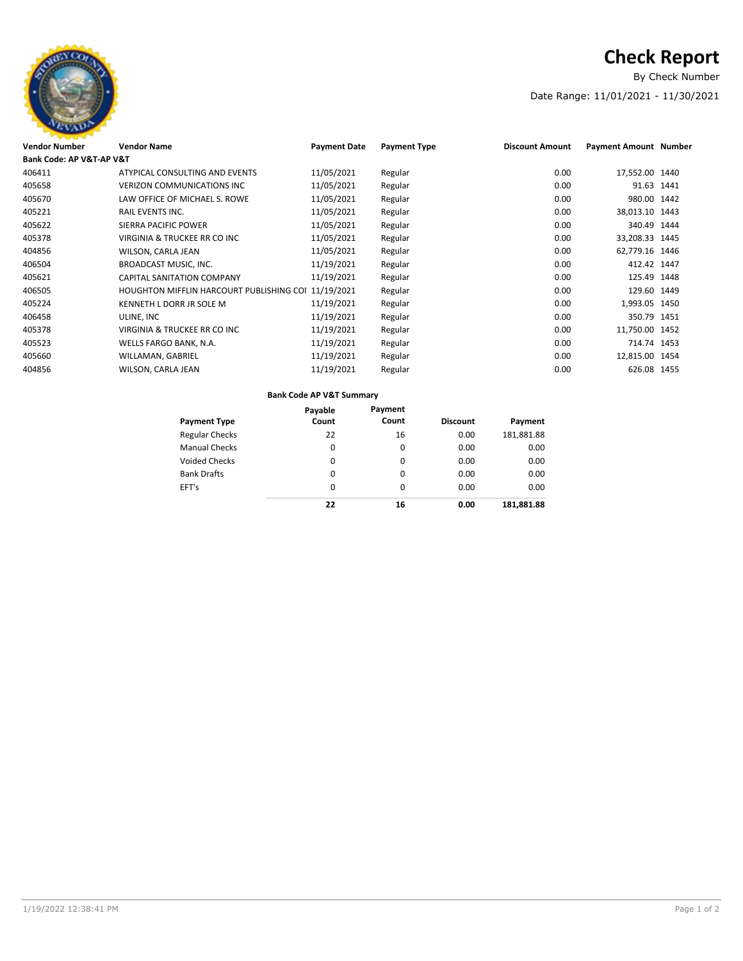

# **Check Report**

By Check Number

### Date Range: 11/01/2021 - 11/30/2021

| <b>Vendor Number</b>     | <b>Vendor Name</b>                              | <b>Payment Date</b> | <b>Payment Type</b> | <b>Discount Amount</b> | <b>Payment Amount Number</b> |  |
|--------------------------|-------------------------------------------------|---------------------|---------------------|------------------------|------------------------------|--|
| Bank Code: AP V&T-AP V&T |                                                 |                     |                     |                        |                              |  |
| 406411                   | ATYPICAL CONSULTING AND EVENTS                  | 11/05/2021          | Regular             | 0.00                   | 17,552.00 1440               |  |
| 405658                   | <b>VERIZON COMMUNICATIONS INC.</b>              | 11/05/2021          | Regular             | 0.00                   | 91.63 1441                   |  |
| 405670                   | LAW OFFICE OF MICHAEL S. ROWE                   | 11/05/2021          | Regular             | 0.00                   | 980.00 1442                  |  |
| 405221                   | <b>RAIL EVENTS INC.</b>                         | 11/05/2021          | Regular             | 0.00                   | 38,013.10 1443               |  |
| 405622                   | SIERRA PACIFIC POWER                            | 11/05/2021          | Regular             | 0.00                   | 340.49 1444                  |  |
| 405378                   | VIRGINIA & TRUCKEE RR CO INC                    | 11/05/2021          | Regular             | 0.00                   | 33,208.33 1445               |  |
| 404856                   | WILSON, CARLA JEAN                              | 11/05/2021          | Regular             | 0.00                   | 62,779.16 1446               |  |
| 406504                   | BROADCAST MUSIC, INC.                           | 11/19/2021          | Regular             | 0.00                   | 412.42 1447                  |  |
| 405621                   | <b>CAPITAL SANITATION COMPANY</b>               | 11/19/2021          | Regular             | 0.00                   | 125.49 1448                  |  |
| 406505                   | <b>HOUGHTON MIFFLIN HARCOURT PUBLISHING COI</b> | 11/19/2021          | Regular             | 0.00                   | 129.60 1449                  |  |
| 405224                   | KENNETH L DORR JR SOLE M                        | 11/19/2021          | Regular             | 0.00                   | 1,993.05 1450                |  |
| 406458                   | ULINE, INC                                      | 11/19/2021          | Regular             | 0.00                   | 350.79 1451                  |  |
| 405378                   | VIRGINIA & TRUCKEE RR CO INC                    | 11/19/2021          | Regular             | 0.00                   | 11,750.00 1452               |  |
| 405523                   | WELLS FARGO BANK, N.A.                          | 11/19/2021          | Regular             | 0.00                   | 714.74 1453                  |  |
| 405660                   | WILLAMAN, GABRIEL                               | 11/19/2021          | Regular             | 0.00                   | 12,815.00 1454               |  |
| 404856                   | WILSON, CARLA JEAN                              | 11/19/2021          | Regular             | 0.00                   | 626.08 1455                  |  |
|                          |                                                 |                     |                     |                        |                              |  |

### **Bank Code AP V&T Summary**

| <b>Payment Type</b>   | Payable<br>Count | Payment<br>Count | <b>Discount</b> | Payment    |
|-----------------------|------------------|------------------|-----------------|------------|
| <b>Regular Checks</b> | 22               | 16               | 0.00            | 181,881.88 |
| <b>Manual Checks</b>  | 0                | 0                | 0.00            | 0.00       |
| <b>Voided Checks</b>  | 0                | 0                | 0.00            | 0.00       |
| <b>Bank Drafts</b>    | 0                | 0                | 0.00            | 0.00       |
| EFT's                 | 0                | 0                | 0.00            | 0.00       |
|                       | 22               | 16               | 0.00            | 181.881.88 |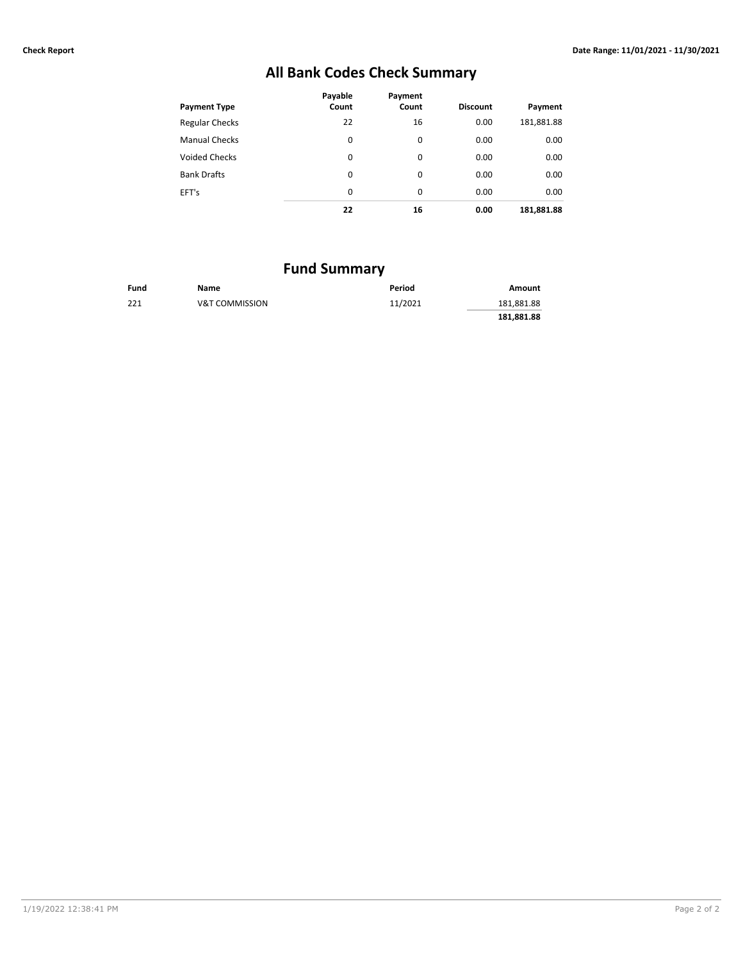## **All Bank Codes Check Summary**

| <b>Payment Type</b>   | Payable<br>Count | Payment<br>Count | <b>Discount</b> | Payment    |
|-----------------------|------------------|------------------|-----------------|------------|
| <b>Regular Checks</b> | 22               | 16               | 0.00            | 181,881.88 |
| <b>Manual Checks</b>  | 0                | 0                | 0.00            | 0.00       |
| <b>Voided Checks</b>  | 0                | $\Omega$         | 0.00            | 0.00       |
| <b>Bank Drafts</b>    | 0                | 0                | 0.00            | 0.00       |
| EFT's                 | 0                | 0                | 0.00            | 0.00       |
|                       | 22               | 16               | 0.00            | 181,881.88 |

## **Fund Summary**

| Fund | Name                      | Period  | Amount     |
|------|---------------------------|---------|------------|
| 221  | <b>V&amp;T COMMISSION</b> | 11/2021 | 181,881.88 |
|      |                           |         | 181.881.88 |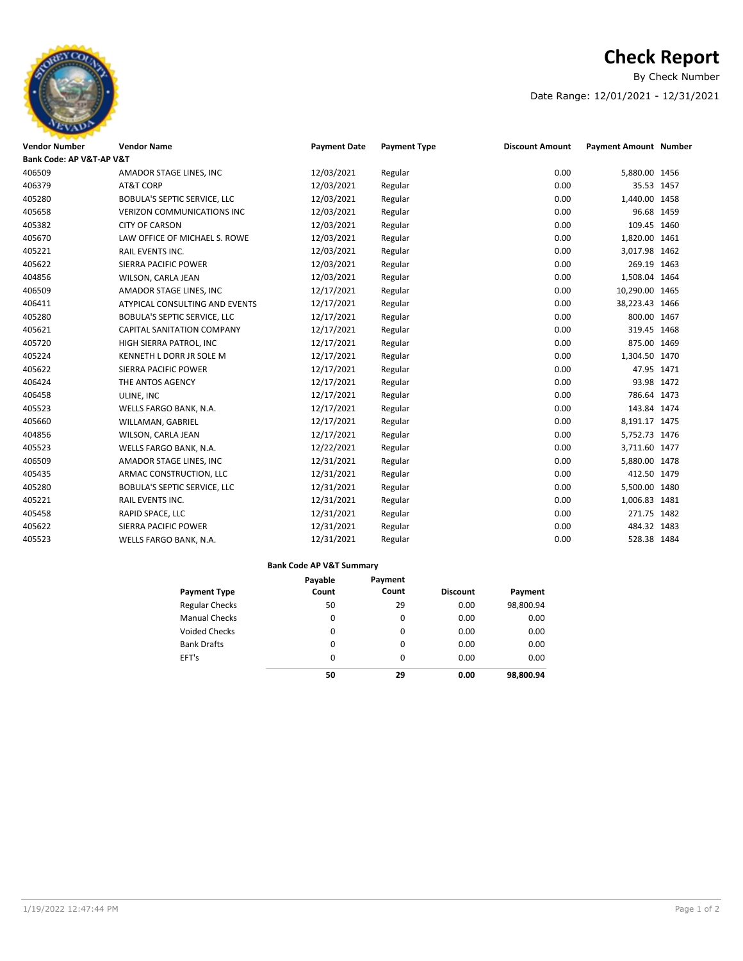

# **Check Report**

By Check Number

### Date Range: 12/01/2021 - 12/31/2021

| <b>Vendor Number</b>     | <b>Vendor Name</b>                  | <b>Payment Date</b> | <b>Payment Type</b> | <b>Discount Amount</b> | Payment Amount Number |  |
|--------------------------|-------------------------------------|---------------------|---------------------|------------------------|-----------------------|--|
| Bank Code: AP V&T-AP V&T |                                     |                     |                     |                        |                       |  |
| 406509                   | AMADOR STAGE LINES, INC             | 12/03/2021          | Regular             | 0.00                   | 5,880.00 1456         |  |
| 406379                   | AT&T CORP                           | 12/03/2021          | Regular             | 0.00                   | 35.53 1457            |  |
| 405280                   | BOBULA'S SEPTIC SERVICE, LLC        | 12/03/2021          | Regular             | 0.00                   | 1,440.00 1458         |  |
| 405658                   | <b>VERIZON COMMUNICATIONS INC</b>   | 12/03/2021          | Regular             | 0.00                   | 96.68 1459            |  |
| 405382                   | <b>CITY OF CARSON</b>               | 12/03/2021          | Regular             | 0.00                   | 109.45 1460           |  |
| 405670                   | LAW OFFICE OF MICHAEL S. ROWE       | 12/03/2021          | Regular             | 0.00                   | 1,820.00 1461         |  |
| 405221                   | RAIL EVENTS INC.                    | 12/03/2021          | Regular             | 0.00                   | 3,017.98 1462         |  |
| 405622                   | SIERRA PACIFIC POWER                | 12/03/2021          | Regular             | 0.00                   | 269.19 1463           |  |
| 404856                   | WILSON, CARLA JEAN                  | 12/03/2021          | Regular             | 0.00                   | 1,508.04 1464         |  |
| 406509                   | AMADOR STAGE LINES, INC             | 12/17/2021          | Regular             | 0.00                   | 10,290.00 1465        |  |
| 406411                   | ATYPICAL CONSULTING AND EVENTS      | 12/17/2021          | Regular             | 0.00                   | 38,223.43 1466        |  |
| 405280                   | BOBULA'S SEPTIC SERVICE, LLC        | 12/17/2021          | Regular             | 0.00                   | 800.00 1467           |  |
| 405621                   | CAPITAL SANITATION COMPANY          | 12/17/2021          | Regular             | 0.00                   | 319.45 1468           |  |
| 405720                   | HIGH SIERRA PATROL, INC             | 12/17/2021          | Regular             | 0.00                   | 875.00 1469           |  |
| 405224                   | KENNETH L DORR JR SOLE M            | 12/17/2021          | Regular             | 0.00                   | 1,304.50 1470         |  |
| 405622                   | SIERRA PACIFIC POWER                | 12/17/2021          | Regular             | 0.00                   | 47.95 1471            |  |
| 406424                   | THE ANTOS AGENCY                    | 12/17/2021          | Regular             | 0.00                   | 93.98 1472            |  |
| 406458                   | ULINE, INC                          | 12/17/2021          | Regular             | 0.00                   | 786.64 1473           |  |
| 405523                   | WELLS FARGO BANK, N.A.              | 12/17/2021          | Regular             | 0.00                   | 143.84 1474           |  |
| 405660                   | WILLAMAN, GABRIEL                   | 12/17/2021          | Regular             | 0.00                   | 8,191.17 1475         |  |
| 404856                   | WILSON, CARLA JEAN                  | 12/17/2021          | Regular             | 0.00                   | 5,752.73 1476         |  |
| 405523                   | WELLS FARGO BANK, N.A.              | 12/22/2021          | Regular             | 0.00                   | 3,711.60 1477         |  |
| 406509                   | AMADOR STAGE LINES, INC             | 12/31/2021          | Regular             | 0.00                   | 5,880.00 1478         |  |
| 405435                   | ARMAC CONSTRUCTION, LLC             | 12/31/2021          | Regular             | 0.00                   | 412.50 1479           |  |
| 405280                   | <b>BOBULA'S SEPTIC SERVICE, LLC</b> | 12/31/2021          | Regular             | 0.00                   | 5,500.00 1480         |  |
| 405221                   | RAIL EVENTS INC.                    | 12/31/2021          | Regular             | 0.00                   | 1,006.83 1481         |  |
| 405458                   | RAPID SPACE, LLC                    | 12/31/2021          | Regular             | 0.00                   | 271.75 1482           |  |
| 405622                   | SIERRA PACIFIC POWER                | 12/31/2021          | Regular             | 0.00                   | 484.32 1483           |  |
| 405523                   | WELLS FARGO BANK, N.A.              | 12/31/2021          | Regular             | 0.00                   | 528.38 1484           |  |

### **Bank Code AP V&T Summary**

| <b>Payment Type</b>   | Payable<br>Count | Payment<br>Count | <b>Discount</b> | Payment   |
|-----------------------|------------------|------------------|-----------------|-----------|
| <b>Regular Checks</b> | 50               | 29               | 0.00            | 98,800.94 |
| <b>Manual Checks</b>  | 0                | 0                | 0.00            | 0.00      |
| <b>Voided Checks</b>  | 0                | 0                | 0.00            | 0.00      |
| <b>Bank Drafts</b>    | 0                | 0                | 0.00            | 0.00      |
| EFT's                 | 0                | 0                | 0.00            | 0.00      |
|                       | 50               | 29               | 0.00            | 98.800.94 |